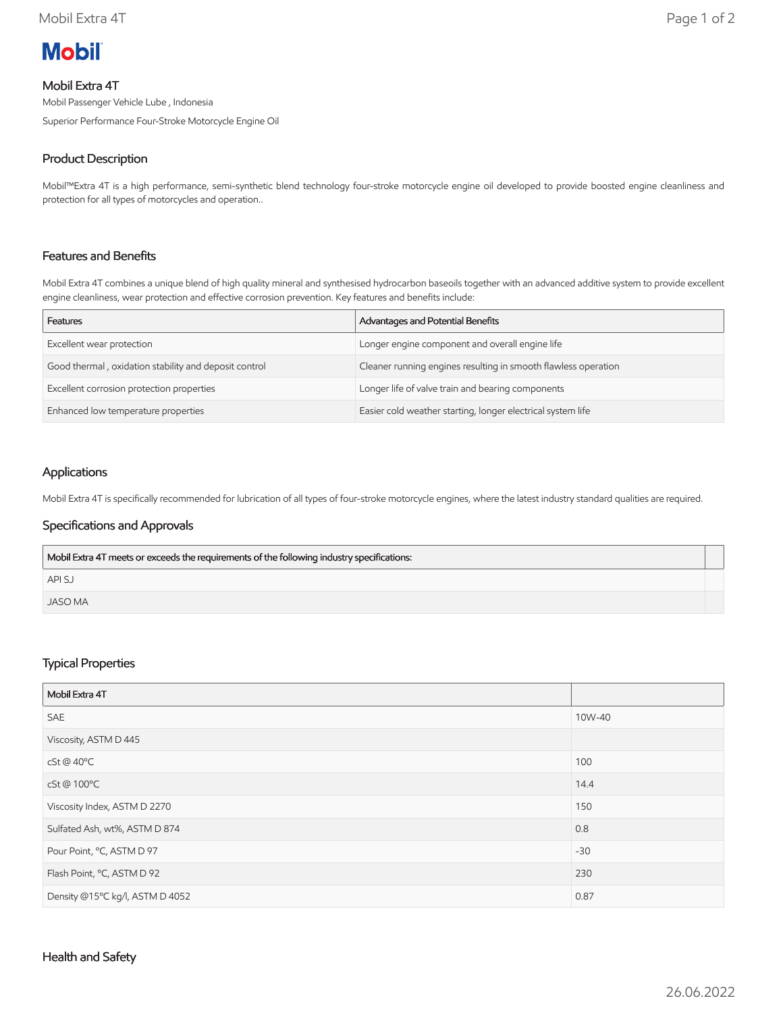

## Mobil Extra 4T

Mobil Passenger Vehicle Lube , Indonesia

Superior Performance Four-Stroke Motorcycle Engine Oil

# Product Description

Mobil™Extra 4T is a high performance, semi-synthetic blend technology four-stroke motorcycle engine oil developed to provide boosted engine cleanliness and protection for all types of motorcycles and operation..

# Features and Benefits

Mobil Extra 4T combines a unique blend of high quality mineral and synthesised hydrocarbon baseoils together with an advanced additive system to provide excellent engine cleanliness, wear protection and effective corrosion prevention. Key features and benefits include:

| Features                                              | Advantages and Potential Benefits                              |
|-------------------------------------------------------|----------------------------------------------------------------|
| Excellent wear protection                             | Longer engine component and overall engine life                |
| Good thermal, oxidation stability and deposit control | Cleaner running engines resulting in smooth flawless operation |
| Excellent corrosion protection properties             | Longer life of valve train and bearing components              |
| Enhanced low temperature properties                   | Easier cold weather starting, longer electrical system life    |

## Applications

Mobil Extra 4T is specifically recommended for lubrication of all types of four-stroke motorcycle engines, where the latest industry standard qualities are required.

### Specifications and Approvals

| Mobil Extra 4T meets or exceeds the requirements of the following industry specifications: |  |
|--------------------------------------------------------------------------------------------|--|
| <b>APISJ</b>                                                                               |  |
| JASO MA                                                                                    |  |

### Typical Properties

| Mobil Extra 4T                  |        |
|---------------------------------|--------|
| <b>SAE</b>                      | 10W-40 |
| Viscosity, ASTM D 445           |        |
| cSt @ 40°C                      | 100    |
| cSt@100°C                       | 14.4   |
| Viscosity Index, ASTM D 2270    | 150    |
| Sulfated Ash, wt%, ASTM D 874   | 0.8    |
| Pour Point, °C, ASTM D 97       | $-30$  |
| Flash Point, °C, ASTM D 92      | 230    |
| Density @15°C kg/l, ASTM D 4052 | 0.87   |